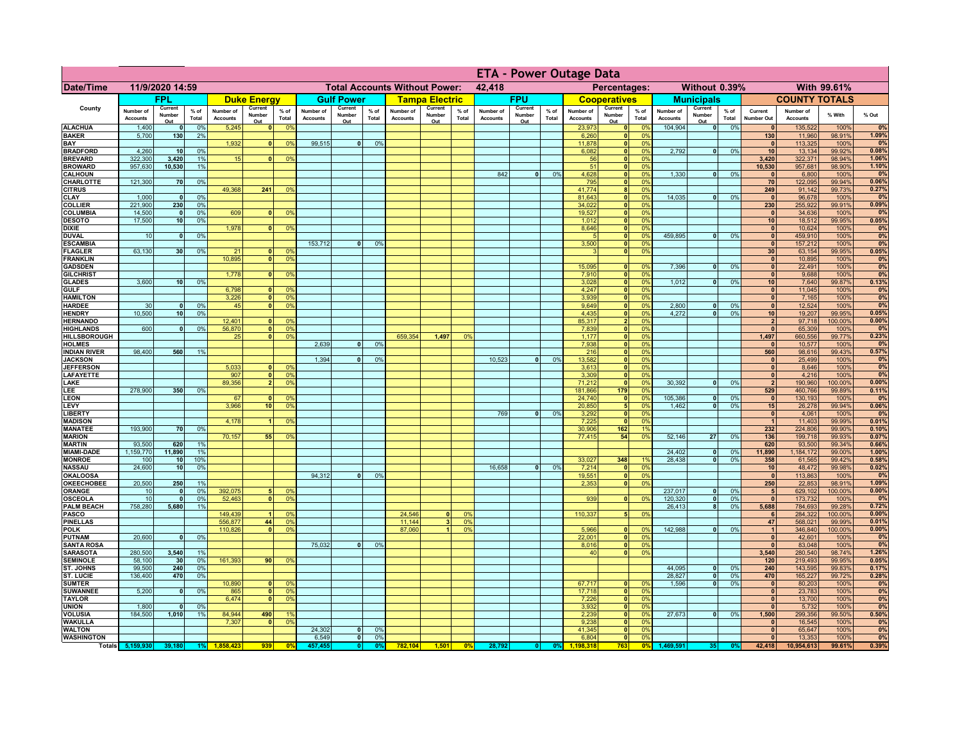|                                      |                              |                          |                 |                              |                          |                                                |                              | <b>ETA - Power Outage Data</b> |                      |                              |                               |                              |                              |                          |               |                              |                                              |                       |                              |                              |                 |                              |                              |                   |                |
|--------------------------------------|------------------------------|--------------------------|-----------------|------------------------------|--------------------------|------------------------------------------------|------------------------------|--------------------------------|----------------------|------------------------------|-------------------------------|------------------------------|------------------------------|--------------------------|---------------|------------------------------|----------------------------------------------|-----------------------|------------------------------|------------------------------|-----------------|------------------------------|------------------------------|-------------------|----------------|
| <b>Date/Time</b>                     | 11/9/2020 14:59              |                          |                 |                              |                          | <b>Total Accounts Without Power:</b><br>42,418 |                              |                                |                      |                              | Without 0.39%<br>Percentages: |                              |                              |                          |               | With 99.61%                  |                                              |                       |                              |                              |                 |                              |                              |                   |                |
|                                      |                              | <b>FPL</b>               |                 |                              | <b>Duke Energy</b>       |                                                |                              | <b>Gulf Power</b>              |                      |                              | <b>Tampa Electric</b>         |                              |                              | <b>FPU</b>               |               |                              | <b>Cooperatives</b>                          |                       |                              | <b>Municipals</b>            |                 |                              | <b>COUNTY TOTALS</b>         |                   |                |
| County                               | Number of<br><b>Accounts</b> | Current<br>Number<br>Out | $%$ of<br>Total | Number of<br><b>Accounts</b> | Current<br>Number<br>Out | $%$ of<br>Total                                | Number of<br><b>Accounts</b> | Current<br>Number<br>Out       | % of<br>Total        | Number of<br><b>Accounts</b> | Current<br>Number<br>Out      | % of<br>Total                | Number of<br><b>Accounts</b> | Current<br>Number<br>Out | % of<br>Total | Number of<br><b>Accounts</b> | Current<br>Number                            | $%$ of<br>Total       | Number of<br><b>Accounts</b> | Current<br>Number<br>Out     | $%$ of<br>Total | Current<br><b>Number Out</b> | Number of<br><b>Accounts</b> | % With            | % Out          |
| <b>ALACHUA</b>                       | 1,400                        | $\mathbf{0}$             | 0%              | 5,245                        | $\Omega$                 | 0 <sup>9</sup>                                 |                              |                                |                      |                              |                               |                              |                              |                          |               | 23,973                       | Out<br> 0                                    | 0 <sup>9</sup>        | 104,904                      | $\bullet$                    | 0%              | $\mathbf{0}$                 | 135,522                      | 100%              | 0%             |
| <b>BAKER</b><br>BAY                  | 5,700                        | 130                      | 2%              | 1,932                        | $\Omega$                 | 0 <sup>9</sup>                                 | 99,515                       | $\overline{\mathbf{0}}$        | 0%                   |                              |                               |                              |                              |                          |               | 6,260<br>11,878              | 0 <br> 0                                     | 0%<br>0%              |                              |                              |                 | 130<br>$\mathbf{0}$          | 11,960<br>113,325            | 98.91%<br>100%    | 1.09%<br>0%    |
| <b>BRADFORD</b>                      | 4,260                        | 10                       | 0%              |                              |                          |                                                |                              |                                |                      |                              |                               |                              |                              |                          |               | 6,082                        | 0                                            | 0%                    | 2,792                        | $\mathbf{0}$                 | 0%              | 10                           | 13,134                       | 99.92%            | 0.08%          |
| <b>BREVARD</b>                       | 322,300                      | 3,420                    | 1%              | 15                           | $\Omega$                 | 0%                                             |                              |                                |                      |                              |                               |                              |                              |                          |               | 56                           |                                              | 0 <br>0%              |                              |                              |                 | 3,420                        | 322,371                      | 98.94%            | 1.06%          |
| <b>BROWARD</b><br><b>CALHOUN</b>     | 957,630                      | 10,530                   | 1%              |                              |                          |                                                |                              |                                |                      |                              |                               |                              | 842                          | $\mathbf{0}$             | 0%            | 51<br>4,628                  | 0 <br> 0                                     | 0%<br>0%              | 1,330                        | $\mathbf{0}$                 | 0%              | 10,530<br>$\mathbf{0}$       | 957,681<br>6,800             | 98.90%<br>100%    | 1.10%<br>0%    |
| CHARLOTTE                            | 121,300                      | 70                       | 0%              |                              |                          |                                                |                              |                                |                      |                              |                               |                              |                              |                          |               | 795                          | 0                                            | 0%                    |                              |                              |                 | 70                           | 122,095                      | 99.94%            | 0.06%          |
| <b>CITRUS</b><br><b>CLAY</b>         | 1,000                        | $\mathbf{0}$             | 0 <sup>9</sup>  | 49,368                       | 241                      | 0 <sup>9</sup>                                 |                              |                                |                      |                              |                               |                              |                              |                          |               | 41,774<br>81,643             | 8 <sup>1</sup><br> 0                         | 0%<br>0 <sup>9</sup>  | 14,035                       | $\mathbf{0}$                 | 0%              | 249<br>$\mathbf{0}$          | 91,142<br>96,678             | 99.73%<br>100%    | 0.27%<br>0%    |
| <b>COLLIER</b>                       | 221,900                      | 230                      | 0 <sup>9</sup>  |                              |                          |                                                |                              |                                |                      |                              |                               |                              |                              |                          |               | 34,022                       | 0                                            | 0%                    |                              |                              |                 | 230                          | 255,922                      | 99.91%            | 0.09%          |
| <b>COLUMBIA</b>                      | 14,500                       | $\mathbf{0}$             | 0%              | 609                          |                          | 0%                                             |                              |                                |                      |                              |                               |                              |                              |                          |               | 19,527                       | 0                                            | 0%                    |                              |                              |                 | $\mathbf{0}$                 | 34,636                       | 100%              | 0%             |
| <b>DESOTO</b><br><b>DIXIE</b>        | 17,500                       | 10                       | 0%              | 1,978                        |                          | 0 <sup>9</sup>                                 |                              |                                |                      |                              |                               |                              |                              |                          |               | 1,012<br>8,646               | 0 <br> 0                                     | 0%<br>0%              |                              |                              |                 | 10<br>$\mathbf{0}$           | 18,512<br>10,624             | 99.95%<br>100%    | 0.05%<br>0%    |
| <b>DUVAL</b>                         | 10                           | $\mathbf 0$              | 0%              |                              |                          |                                                |                              |                                |                      |                              |                               |                              |                              |                          |               |                              | 0                                            | 0%                    | 459,895                      | $\mathbf{0}$                 | 0%              | $\mathbf{0}$                 | 459,910                      | 100%              | 0%             |
| <b>ESCAMBIA</b>                      |                              |                          |                 |                              |                          |                                                | 153,712                      | $\Omega$                       | 0 <sup>9</sup>       |                              |                               |                              |                              |                          |               | 3,500                        | 0                                            | 0%                    |                              |                              |                 | $\mathbf{0}$                 | 157,212                      | 100%              | 0%             |
| <b>FLAGLER</b><br><b>FRANKLIN</b>    | 63,130                       | 30                       | 0%              | 21<br>10,895                 | $\Omega$                 | 0 <sup>9</sup><br>0 <sup>9</sup>               |                              |                                |                      |                              |                               |                              |                              |                          |               | $\mathbf{3}$                 | $\overline{\mathbf{0}}$                      | 0%                    |                              |                              |                 | 30<br>$\mathbf{0}$           | 63,154<br>10,895             | 99.95%<br>100%    | 0.05%<br>0%    |
| <b>GADSDEN</b>                       |                              |                          |                 |                              |                          |                                                |                              |                                |                      |                              |                               |                              |                              |                          |               | 15.095                       | 0                                            | 0%                    | 7.396                        | 0                            | 0%              | 0                            | 22,491                       | 100%              | 0%             |
| <b>GILCHRIST</b>                     |                              |                          |                 | 1.778                        | $\mathbf{0}$             | 0 <sup>9</sup>                                 |                              |                                |                      |                              |                               |                              |                              |                          |               | 7,910                        | $\overline{\mathbf{0}}$                      | 0%                    |                              |                              |                 | $\Omega$                     | 9,688                        | 100%              | 0%             |
| <b>GLADES</b><br><b>GULF</b>         | 3,600                        | 10                       | 0%              | 6,798                        | $\mathbf{0}$             | 0%                                             |                              |                                |                      |                              |                               |                              |                              |                          |               | 3,028<br>4,247               | 0 <br> 0                                     | 0%<br>0%              | 1,012                        | $\bullet$                    | 0%              | 10<br>$\mathbf{0}$           | 7,640<br>11,045              | 99.87%<br>100%    | 0.13%<br>0%    |
| <b>HAMILTON</b>                      |                              |                          |                 | 3,226                        | 0                        | 0 <sup>9</sup>                                 |                              |                                |                      |                              |                               |                              |                              |                          |               | 3,939                        | 0                                            | 0%                    |                              |                              |                 | $\mathbf{0}$                 | 7,165                        | 100%              | 0%             |
| <b>HARDEE</b>                        | 30<br>10.500                 | $\Omega$                 | 0%              | 45                           | $\Omega$                 | 0%                                             |                              |                                |                      |                              |                               |                              |                              |                          |               | 9,649                        | 0                                            | 0%                    | 2,800                        | $\mathbf{0}$                 | 0%              | $\mathbf{0}$                 | 12,524                       | 100%              | 0%<br>0.05%    |
| <b>HENDRY</b><br><b>HERNANDO</b>     |                              | 10                       | 0%              | 12,401                       |                          | 0 <sup>9</sup>                                 |                              |                                |                      |                              |                               |                              |                              |                          |               | 4,435<br>85,317              | $\overline{0}$<br>$\overline{2}$             | 0%<br>0%              | 4.272                        | $\bullet$                    | 0%              | 10<br>$\overline{2}$         | 19,207<br>97,718             | 99.95%<br>100.00% | 0.00%          |
| <b>HIGHLANDS</b>                     | 600                          | $\Omega$                 | 0%              | 56,870                       | $\Omega$                 | 0 <sup>9</sup>                                 |                              |                                |                      |                              |                               |                              |                              |                          |               | 7,839                        | $\overline{0}$                               | 0%                    |                              |                              |                 | $\mathbf{0}$                 | 65,309                       | 100%              | 0%             |
| <b>HILLSBOROUGH</b>                  |                              |                          |                 | 25                           | n l                      | 0 <sup>9</sup>                                 |                              | n l                            |                      | 659,354                      | 1.497                         | 0 <sup>9</sup>               |                              |                          |               | 1,177                        | 0                                            | 0%                    |                              |                              |                 | 1,497<br>$\Omega$            | 660,556                      | 99.77%            | 0.23%<br>0%    |
| <b>HOLMES</b><br><b>INDIAN RIVER</b> | 98,400                       | 560                      | 1%              |                              |                          |                                                | 2,639                        |                                | 0%                   |                              |                               |                              |                              |                          |               | 7,938<br>216                 | 0 <br> 0                                     | 0%<br>0%              |                              |                              |                 | 560                          | 10,577<br>98,616             | 100%<br>99.43%    | 0.57%          |
| <b>JACKSON</b>                       |                              |                          |                 |                              |                          |                                                | 1,394                        | <sub>0</sub>                   | 0 <sup>9</sup>       |                              |                               |                              | 10.523                       |                          | 0%            | 13,582                       | 0                                            | 0%                    |                              |                              |                 | $\mathbf{0}$                 | 25,499                       | 100%              | 0%             |
| <b>JEFFERSON</b><br><b>LAFAYETTE</b> |                              |                          |                 | 5,033<br>907                 |                          | 0 <sup>9</sup><br>0 <sup>9</sup>               |                              |                                |                      |                              |                               |                              |                              |                          |               | 3,613<br>3,309               | 0 <br> 0                                     | 0%<br>0%              |                              |                              |                 | 0 <br> 0                     | 8,646<br>4,216               | 100%<br>100%      | 0%<br>0%       |
| LAKE                                 |                              |                          |                 | 89,356                       |                          | 0 <sup>9</sup>                                 |                              |                                |                      |                              |                               |                              |                              |                          |               | 71,212                       | 0                                            | 0%                    | 30,392                       | $\mathbf{0}$                 | 0%              | $\overline{2}$               | 190,960                      | 100.00%           | 0.00%          |
| LEE                                  | 278,900                      | 350                      | 0%              |                              |                          |                                                |                              |                                |                      |                              |                               |                              |                              |                          |               | 181,866                      | 179                                          | 0%                    |                              |                              |                 | 529                          | 460,766                      | 99.89%            | 0.11%          |
| <b>LEON</b><br>LEVY                  |                              |                          |                 | 67<br>3,966                  | 10 <sup>1</sup>          | 0 <sup>9</sup><br>0%                           |                              |                                |                      |                              |                               |                              |                              |                          |               | 24,740<br>20,850             | 0 <br>5 <sub>1</sub>                         | 0%<br>0%              | 105,386<br>1,462             | $\mathbf{0}$<br>$\mathbf{0}$ | 0%<br>0%        | 0 <br>15                     | 130,193<br>26,278            | 100%<br>99.94%    | 0%<br>0.06%    |
| <b>LIBERTY</b>                       |                              |                          |                 |                              |                          |                                                |                              |                                |                      |                              |                               |                              | 769                          | $\mathbf{0}$             | 0%            | 3,292                        | 0                                            | 0%                    |                              |                              |                 | 0                            | 4,061                        | 100%              | 0%             |
| <b>MADISON</b>                       |                              |                          |                 | 4,178                        |                          | 0%                                             |                              |                                |                      |                              |                               |                              |                              |                          |               | 7,225                        | 0                                            | 0%                    |                              |                              |                 | $\vert$ 1                    | 11,403                       | 99.99%            | 0.01%          |
| <b>MANATEE</b><br><b>MARION</b>      | 193,900                      | 70                       | 0%              | 70,157                       | 55                       | 0%                                             |                              |                                |                      |                              |                               |                              |                              |                          |               | 30,906<br>77,415             | 162<br>54                                    | 1%<br>0%              | 52,146                       | 27                           | 0%              | 232<br>136                   | 224,806<br>199,718           | 99.90%<br>99.93%  | 0.10%<br>0.07% |
| <b>MARTIN</b>                        | 93,500                       | 620                      | 1%              |                              |                          |                                                |                              |                                |                      |                              |                               |                              |                              |                          |               |                              |                                              |                       |                              |                              |                 | 620                          | 93,500                       | 99.34%            | 0.66%          |
| <b>MIAMI-DADE</b>                    | 1,159,770                    | 11,890                   | 1%              |                              |                          |                                                |                              |                                |                      |                              |                               |                              |                              |                          |               |                              |                                              |                       | 24,402<br>28,438             | $\mathbf{0}$                 | 0%              | 11,890                       | 1,184,172                    | 99.00%            | 1.00%<br>0.58% |
| <b>MONROE</b><br><b>NASSAU</b>       | 100<br>24,600                | 10 <sup>1</sup><br>10    | 10%<br>0%       |                              |                          |                                                |                              |                                |                      |                              |                               |                              | 16,658                       | $\Omega$                 | 0%            | 33,027<br>7,214              | 348<br> 0                                    | 1%<br>0%              |                              | $\mathbf{0}$                 | 0%              | 358<br>10                    | 61,565<br>48,472             | 99.42%<br>99.98%  | 0.02%          |
| <b>OKALOOSA</b>                      |                              |                          |                 |                              |                          |                                                | 94,312                       | 0                              | 0%                   |                              |                               |                              |                              |                          |               | 19,551                       | 0                                            | 0%                    |                              |                              |                 | $\bullet$                    | 113,863                      | 100%              | 0%             |
| <b>OKEECHOBEE</b><br><b>ORANGE</b>   | 20,500<br>10                 | 250<br>$\mathbf{0}$      | 1%<br>0%        | 392,075                      | 5                        | 0 <sup>9</sup>                                 |                              |                                |                      |                              |                               |                              |                              |                          |               | 2,353                        | 0                                            | 0%                    | 237,017                      | $\mathbf{0}$                 | 0%              | 250<br>$5\phantom{.0}$       | 22,853<br>629,102            | 98.91%<br>100.00% | 1.09%<br>0.00% |
| <b>OSCEOLA</b>                       | 10                           | $\mathbf{0}$             | 0%              | 52,463                       | $\mathbf{0}$             | 0 <sup>9</sup>                                 |                              |                                |                      |                              |                               |                              |                              |                          |               | 939                          | 0                                            | 0%                    | 120,320                      | $\mathbf 0$                  | 0%              | $\bullet$                    | 173,732                      | 100%              | 0%             |
| <b>PALM BEACH</b>                    | 758,280                      | 5,680                    | 1%              |                              |                          |                                                |                              |                                |                      |                              |                               |                              |                              |                          |               |                              |                                              |                       | 26,413                       | $\boldsymbol{8}$             | 0%              | 5,688                        | 784,693                      | 99.28%            | 0.72%          |
| <b>PASCO</b><br><b>PINELLAS</b>      |                              |                          |                 | 149,439<br>556,877           | 44                       | 0 <sup>9</sup><br>0 <sup>9</sup>               |                              |                                |                      | 24,546<br>11,144             | $\Omega$<br>3                 | $^{\circ}$<br>0 <sup>9</sup> |                              |                          |               | 110,337                      |                                              | 0%<br>5 <sup>1</sup>  |                              |                              |                 | 6<br>47                      | 284,322<br>568,021           | 100.00%<br>99.99% | 0.00%<br>0.01% |
| <b>POLK</b>                          |                              |                          |                 | 110,826                      | $\mathbf{0}$             | 0%                                             |                              |                                |                      | 87,060                       |                               | 0 <sup>9</sup>               |                              |                          |               | 5,966                        |                                              | 0 <br>0%              | 142,988                      | 0                            | 0%              | $\mathbf{1}$                 | 346,840                      | 100.00%           | 0.00%          |
| <b>PUTNAM</b>                        | 20,600                       | 0                        | 0%              |                              |                          |                                                |                              |                                |                      |                              |                               |                              |                              |                          |               | 22,001                       |                                              | 0 <br>0%              |                              |                              |                 | $\bullet$                    | 42,601                       | 100%              | 0%             |
| <b>SANTA ROSA</b><br><b>SARASOTA</b> | 280,500                      | 3,540                    | 1%              |                              |                          |                                                | 75,032                       | $\mathbf{0}$                   | 0 <sup>9</sup>       |                              |                               |                              |                              |                          |               | 8,016<br>40                  |                                              | 0 <br>0%<br> 0 <br>0% |                              |                              |                 | $\mathbf{0}$<br>3,540        | 83,048<br>280,540            | 100%<br>98.74%    | 0%<br>1.26%    |
| <b>SEMINOLE</b>                      | 58,100                       | 30 <sup>1</sup>          | 0%              | 161,393                      | 90                       | 0 <sup>9</sup>                                 |                              |                                |                      |                              |                               |                              |                              |                          |               |                              |                                              |                       |                              |                              |                 | 120                          | 219,493                      | 99.95%            | 0.05%          |
| ST. JOHNS                            | 99,500                       | 240                      | 0%              |                              |                          |                                                |                              |                                |                      |                              |                               |                              |                              |                          |               |                              |                                              |                       | 44,095                       | $\bullet$                    | 0%              | 240                          | 143,595                      | 99.83%            | 0.17%          |
| <b>ST. LUCIE</b><br><b>SUMTER</b>    | 136,400                      | 470                      | 0%              | 10,890                       |                          | 0 <sup>6</sup>                                 |                              |                                |                      |                              |                               |                              |                              |                          |               | 67,717                       | $\mathbf{0}$                                 | 0%                    | 28,827<br>1,596              | $\bullet$<br>$\bullet$       | 0%<br>0%        | 470<br>$\mathbf{0}$          | 165,227<br>80,203            | 99.72%<br>100%    | 0.28%<br>0%    |
| <b>SUWANNEE</b>                      | 5,200                        | $\mathbf{0}$             | 0%              | 865                          |                          | 0 <sup>9</sup>                                 |                              |                                |                      |                              |                               |                              |                              |                          |               | 17,718                       | 0                                            | 0%                    |                              |                              |                 | $\mathbf{0}$                 | 23,783                       | 100%              | 0%             |
| <b>TAYLOR</b>                        |                              |                          |                 | 6,474                        | $\Omega$                 | 0%                                             |                              |                                |                      |                              |                               |                              |                              |                          |               | 7,226                        | 0                                            | 0%                    |                              |                              |                 | $\mathbf{0}$<br>$\mathbf{0}$ | 13,700                       | 100%              | 0%             |
| <b>UNION</b><br><b>VOLUSIA</b>       | 1,800<br>184,500             | 1,010                    | 0%<br>1%        | 84,944                       | 490                      | 19                                             |                              |                                |                      |                              |                               |                              |                              |                          |               | $\frac{3,932}{2,239}$        | 0 <br> 0                                     | 0%<br>0%              | 27,673                       | 0                            | 0%              | 1,500                        | 5,732<br>299,356             | 100%<br>99.50%    | 0%<br>0.50%    |
| <b>WAKULLA</b>                       |                              |                          |                 | 7,307                        | $\mathbf{0}$             | 0 <sup>9</sup>                                 |                              |                                |                      |                              |                               |                              |                              |                          |               | 9,238                        | 0                                            | 0%                    |                              |                              |                 | $\mathbf{0}$                 | 16,545                       | 100%              | 0%             |
| <b>WALTON</b><br><b>WASHINGTON</b>   |                              |                          |                 |                              |                          |                                                | 24,302<br>6,549              | 0<br> 0                        | 0 <sup>9</sup><br>0% |                              |                               |                              |                              |                          |               | 41,345<br>6,804              | $\overline{\bullet}$<br>$\overline{\bullet}$ | 0%<br>0%              |                              |                              |                 | $\mathbf{0}$<br> 0           | 65,647<br>13,353             | 100%<br>100%      | 0%             |
|                                      | Totals 5,159,930             | 39,180                   | 1%              |                              | 939                      | $\mathbf{0}$                                   | 457.455                      | 0                              |                      | 782.104                      | 1,501                         | 0%                           | 28,792                       |                          | 0%            | 1.198.318                    | 763                                          | 0%                    | 1,469,591                    | 35                           |                 | 42,418                       | 10,954,613                   | 99.61%            | 0%<br>0.39%    |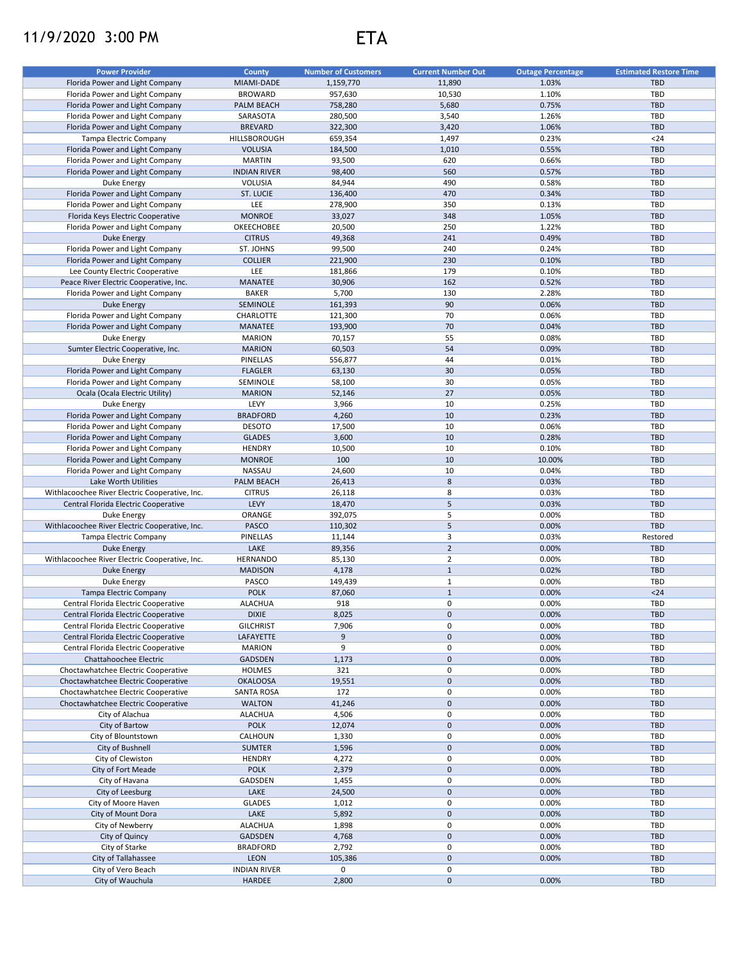## 11/9/2020 3:00 PM ETA

| <b>Power Provider</b>                          | <b>County</b>       | <b>Number of Customers</b> | <b>Current Number Out</b> | <b>Outage Percentage</b> | <b>Estimated Restore Time</b> |
|------------------------------------------------|---------------------|----------------------------|---------------------------|--------------------------|-------------------------------|
| Florida Power and Light Company                | MIAMI-DADE          | 1,159,770                  | 11,890                    | 1.03%                    | <b>TBD</b>                    |
|                                                |                     |                            |                           |                          |                               |
| Florida Power and Light Company                | <b>BROWARD</b>      | 957,630                    | 10,530                    | 1.10%                    | TBD                           |
| Florida Power and Light Company                | PALM BEACH          | 758,280                    | 5,680                     | 0.75%                    | <b>TBD</b>                    |
| Florida Power and Light Company                | SARASOTA            | 280,500                    | 3,540                     | 1.26%                    | TBD                           |
| Florida Power and Light Company                | <b>BREVARD</b>      | 322,300                    | 3,420                     | 1.06%                    | <b>TBD</b>                    |
| Tampa Electric Company                         | HILLSBOROUGH        | 659,354                    | 1,497                     | 0.23%                    | $24$                          |
| Florida Power and Light Company                | <b>VOLUSIA</b>      | 184,500                    | 1,010                     | 0.55%                    | <b>TBD</b>                    |
| Florida Power and Light Company                | <b>MARTIN</b>       | 93,500                     | 620                       | 0.66%                    | TBD                           |
| Florida Power and Light Company                | <b>INDIAN RIVER</b> | 98,400                     | 560                       | 0.57%                    | <b>TBD</b>                    |
| <b>Duke Energy</b>                             | <b>VOLUSIA</b>      | 84,944                     | 490                       | 0.58%                    | TBD                           |
| Florida Power and Light Company                | ST. LUCIE           | 136,400                    | 470                       | 0.34%                    | <b>TBD</b>                    |
| Florida Power and Light Company                | LEE                 | 278,900                    | 350                       | 0.13%                    | TBD                           |
|                                                | <b>MONROE</b>       |                            | 348                       | 1.05%                    | <b>TBD</b>                    |
| Florida Keys Electric Cooperative              |                     | 33,027                     |                           |                          |                               |
| Florida Power and Light Company                | OKEECHOBEE          | 20,500                     | 250                       | 1.22%                    | TBD                           |
| <b>Duke Energy</b>                             | <b>CITRUS</b>       | 49,368                     | 241                       | 0.49%                    | <b>TBD</b>                    |
| Florida Power and Light Company                | ST. JOHNS           | 99,500                     | 240                       | 0.24%                    | TBD                           |
| Florida Power and Light Company                | <b>COLLIER</b>      | 221,900                    | 230                       | 0.10%                    | <b>TBD</b>                    |
| Lee County Electric Cooperative                | LEE                 | 181,866                    | 179                       | 0.10%                    | TBD                           |
| Peace River Electric Cooperative, Inc.         | MANATEE             | 30,906                     | 162                       | 0.52%                    | <b>TBD</b>                    |
| Florida Power and Light Company                | <b>BAKER</b>        | 5,700                      | 130                       | 2.28%                    | TBD                           |
| <b>Duke Energy</b>                             | SEMINOLE            | 161,393                    | 90                        | 0.06%                    | <b>TBD</b>                    |
| Florida Power and Light Company                | CHARLOTTE           | 121,300                    | 70                        | 0.06%                    | TBD                           |
| Florida Power and Light Company                | MANATEE             | 193,900                    | 70                        | 0.04%                    | <b>TBD</b>                    |
|                                                |                     |                            |                           |                          |                               |
| Duke Energy                                    | <b>MARION</b>       | 70,157                     | 55                        | 0.08%                    | TBD                           |
| Sumter Electric Cooperative, Inc.              | <b>MARION</b>       | 60,503                     | 54                        | 0.09%                    | <b>TBD</b>                    |
| Duke Energy                                    | PINELLAS            | 556,877                    | 44                        | 0.01%                    | <b>TBD</b>                    |
| Florida Power and Light Company                | <b>FLAGLER</b>      | 63,130                     | 30                        | 0.05%                    | <b>TBD</b>                    |
| Florida Power and Light Company                | SEMINOLE            | 58,100                     | 30                        | 0.05%                    | TBD                           |
| Ocala (Ocala Electric Utility)                 | <b>MARION</b>       | 52,146                     | 27                        | 0.05%                    | <b>TBD</b>                    |
| Duke Energy                                    | LEVY                | 3,966                      | 10                        | 0.25%                    | <b>TBD</b>                    |
| Florida Power and Light Company                | <b>BRADFORD</b>     | 4,260                      | 10                        | 0.23%                    | <b>TBD</b>                    |
| Florida Power and Light Company                | <b>DESOTO</b>       | 17,500                     | 10                        | 0.06%                    | <b>TBD</b>                    |
| Florida Power and Light Company                | <b>GLADES</b>       | 3,600                      | 10                        | 0.28%                    | <b>TBD</b>                    |
| Florida Power and Light Company                | <b>HENDRY</b>       | 10,500                     | 10                        | 0.10%                    | <b>TBD</b>                    |
|                                                |                     | 100                        | 10                        |                          | <b>TBD</b>                    |
| Florida Power and Light Company                | <b>MONROE</b>       |                            |                           | 10.00%                   |                               |
| Florida Power and Light Company                | NASSAU              | 24,600                     | 10                        | 0.04%                    | TBD                           |
| Lake Worth Utilities                           | <b>PALM BEACH</b>   | 26,413                     | $\bf 8$                   | 0.03%                    | <b>TBD</b>                    |
| Withlacoochee River Electric Cooperative, Inc. | <b>CITRUS</b>       | 26,118                     | 8                         | 0.03%                    | TBD                           |
| Central Florida Electric Cooperative           | LEVY                | 18,470                     | 5                         | 0.03%                    | <b>TBD</b>                    |
| Duke Energy                                    | ORANGE              | 392,075                    | 5                         | 0.00%                    | TBD                           |
| Withlacoochee River Electric Cooperative, Inc. | <b>PASCO</b>        | 110,302                    | 5                         | 0.00%                    | TBD                           |
| Tampa Electric Company                         | PINELLAS            | 11,144                     | 3                         | 0.03%                    | Restored                      |
| <b>Duke Energy</b>                             | LAKE                | 89,356                     | $\overline{2}$            | 0.00%                    | <b>TBD</b>                    |
| Withlacoochee River Electric Cooperative, Inc. | <b>HERNANDO</b>     | 85,130                     | $\overline{2}$            | 0.00%                    | TBD                           |
| Duke Energy                                    | <b>MADISON</b>      | 4,178                      | $\mathbf{1}$              | 0.02%                    | <b>TBD</b>                    |
| Duke Energy                                    | PASCO               | 149,439                    | $\mathbf{1}$              | 0.00%                    | <b>TBD</b>                    |
|                                                |                     |                            | $\mathbf{1}$              |                          |                               |
| Tampa Electric Company                         | <b>POLK</b>         | 87,060                     |                           | 0.00%                    | $24$                          |
| Central Florida Electric Cooperative           | <b>ALACHUA</b>      | 918                        | 0                         | 0.00%                    | TBD                           |
| Central Florida Electric Cooperative           | <b>DIXIE</b>        | 8,025                      | $\pmb{0}$                 | 0.00%                    | <b>TBD</b>                    |
| Central Florida Electric Cooperative           | <b>GILCHRIST</b>    | 7,906                      | 0                         | 0.00%                    | TBD                           |
| Central Florida Electric Cooperative           | LAFAYETTE           | 9                          | 0                         | 0.00%                    | <b>TBD</b>                    |
| Central Florida Electric Cooperative           | <b>MARION</b>       | 9                          | 0                         | 0.00%                    | TBD                           |
| Chattahoochee Electric                         | GADSDEN             | 1,173                      | 0                         | 0.00%                    | <b>TBD</b>                    |
| Choctawhatchee Electric Cooperative            | <b>HOLMES</b>       | 321                        | 0                         | 0.00%                    | TBD                           |
| Choctawhatchee Electric Cooperative            | <b>OKALOOSA</b>     | 19,551                     | $\mathsf{O}\xspace$       | 0.00%                    | TBD                           |
| Choctawhatchee Electric Cooperative            | SANTA ROSA          | 172                        | 0                         | 0.00%                    | TBD                           |
| Choctawhatchee Electric Cooperative            | <b>WALTON</b>       | 41,246                     | 0                         | 0.00%                    | <b>TBD</b>                    |
|                                                | <b>ALACHUA</b>      |                            | 0                         | 0.00%                    |                               |
| City of Alachua                                |                     | 4,506                      |                           |                          | TBD                           |
| City of Bartow                                 | <b>POLK</b>         | 12,074                     | 0                         | 0.00%                    | <b>TBD</b>                    |
| City of Blountstown                            | CALHOUN             | 1,330                      | 0                         | 0.00%                    | TBD                           |
| City of Bushnell                               | <b>SUMTER</b>       | 1,596                      | $\pmb{0}$                 | 0.00%                    | <b>TBD</b>                    |
| City of Clewiston                              | <b>HENDRY</b>       | 4,272                      | 0                         | 0.00%                    | TBD                           |
| City of Fort Meade                             | <b>POLK</b>         | 2,379                      | $\pmb{0}$                 | 0.00%                    | <b>TBD</b>                    |
| City of Havana                                 | GADSDEN             | 1,455                      | 0                         | 0.00%                    | TBD                           |
| City of Leesburg                               | LAKE                | 24,500                     | $\pmb{0}$                 | 0.00%                    | <b>TBD</b>                    |
| City of Moore Haven                            | <b>GLADES</b>       | 1,012                      | 0                         | 0.00%                    | TBD                           |
| City of Mount Dora                             | LAKE                | 5,892                      | $\pmb{0}$                 | 0.00%                    | <b>TBD</b>                    |
| City of Newberry                               | ALACHUA             | 1,898                      | 0                         | 0.00%                    | TBD                           |
| City of Quincy                                 | GADSDEN             | 4,768                      | 0                         | 0.00%                    | TBD                           |
|                                                |                     |                            |                           |                          |                               |
| City of Starke                                 | <b>BRADFORD</b>     | 2,792                      | 0                         | 0.00%                    | TBD                           |
| City of Tallahassee                            | LEON                | 105,386                    | $\mathbf 0$               | 0.00%                    | <b>TBD</b>                    |
| City of Vero Beach                             | <b>INDIAN RIVER</b> | 0                          | 0                         |                          | TBD                           |
| City of Wauchula                               | HARDEE              | 2,800                      | 0                         | 0.00%                    | <b>TBD</b>                    |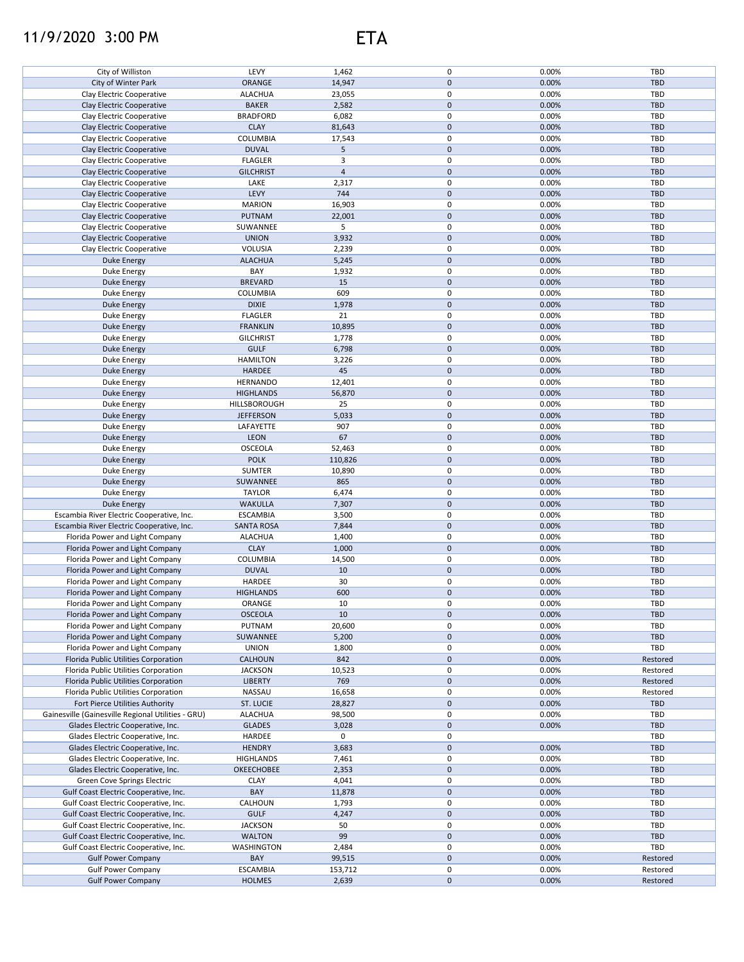## 11/9/2020 3:00 PM ETA

| City of Williston                                  | LEVY              | 1,462          | 0                   | 0.00% | TBD        |
|----------------------------------------------------|-------------------|----------------|---------------------|-------|------------|
| City of Winter Park                                | ORANGE            | 14,947         | $\mathbf 0$         | 0.00% | <b>TBD</b> |
|                                                    |                   |                |                     |       |            |
| Clay Electric Cooperative                          | <b>ALACHUA</b>    | 23,055         | 0                   | 0.00% | TBD        |
| Clay Electric Cooperative                          | <b>BAKER</b>      | 2,582          | $\mathbf 0$         | 0.00% | <b>TBD</b> |
|                                                    | <b>BRADFORD</b>   | 6,082          | 0                   | 0.00% | TBD        |
| Clay Electric Cooperative                          |                   |                |                     |       |            |
| Clay Electric Cooperative                          | <b>CLAY</b>       | 81,643         | $\mathbf 0$         | 0.00% | <b>TBD</b> |
| Clay Electric Cooperative                          | COLUMBIA          | 17,543         | $\pmb{0}$           | 0.00% | TBD        |
|                                                    |                   |                |                     |       |            |
| Clay Electric Cooperative                          | <b>DUVAL</b>      | 5              | $\pmb{0}$           | 0.00% | TBD        |
| Clay Electric Cooperative                          | <b>FLAGLER</b>    | 3              | $\pmb{0}$           | 0.00% | TBD        |
| Clay Electric Cooperative                          | <b>GILCHRIST</b>  | $\overline{4}$ | $\pmb{0}$           | 0.00% | <b>TBD</b> |
|                                                    |                   |                |                     |       |            |
| Clay Electric Cooperative                          | LAKE              | 2,317          | 0                   | 0.00% | TBD        |
| Clay Electric Cooperative                          | LEVY              | 744            | $\pmb{0}$           | 0.00% | <b>TBD</b> |
| Clay Electric Cooperative                          | <b>MARION</b>     | 16,903         | 0                   | 0.00% | TBD        |
|                                                    |                   |                |                     |       |            |
| Clay Electric Cooperative                          | <b>PUTNAM</b>     | 22,001         | $\pmb{0}$           | 0.00% | TBD        |
| Clay Electric Cooperative                          | SUWANNEE          | 5              | 0                   | 0.00% | TBD        |
| Clay Electric Cooperative                          | <b>UNION</b>      |                | $\mathbf 0$         | 0.00% | <b>TBD</b> |
|                                                    |                   | 3,932          |                     |       |            |
| Clay Electric Cooperative                          | <b>VOLUSIA</b>    | 2,239          | 0                   | 0.00% | TBD        |
| Duke Energy                                        | <b>ALACHUA</b>    | 5,245          | $\pmb{0}$           | 0.00% | <b>TBD</b> |
|                                                    |                   |                |                     |       |            |
| Duke Energy                                        | BAY               | 1,932          | $\pmb{0}$           | 0.00% | TBD        |
| Duke Energy                                        | <b>BREVARD</b>    | 15             | $\mathsf{O}\xspace$ | 0.00% | <b>TBD</b> |
| Duke Energy                                        | COLUMBIA          | 609            | 0                   | 0.00% | TBD        |
|                                                    |                   |                |                     |       |            |
| <b>Duke Energy</b>                                 | <b>DIXIE</b>      | 1,978          | $\mathsf{O}\xspace$ | 0.00% | <b>TBD</b> |
| Duke Energy                                        | <b>FLAGLER</b>    | 21             | 0                   | 0.00% | TBD        |
| Duke Energy                                        | <b>FRANKLIN</b>   | 10,895         | $\pmb{0}$           | 0.00% | <b>TBD</b> |
|                                                    |                   |                |                     |       |            |
| Duke Energy                                        | <b>GILCHRIST</b>  | 1,778          | 0                   | 0.00% | TBD        |
| <b>Duke Energy</b>                                 | <b>GULF</b>       | 6,798          | $\pmb{0}$           | 0.00% | <b>TBD</b> |
|                                                    |                   |                | 0                   | 0.00% | TBD        |
| Duke Energy                                        | <b>HAMILTON</b>   | 3,226          |                     |       |            |
| <b>Duke Energy</b>                                 | <b>HARDEE</b>     | 45             | $\mathsf{O}\xspace$ | 0.00% | <b>TBD</b> |
| Duke Energy                                        | <b>HERNANDO</b>   | 12,401         | $\pmb{0}$           | 0.00% | TBD        |
| <b>Duke Energy</b>                                 | <b>HIGHLANDS</b>  | 56,870         | $\mathsf{O}\xspace$ | 0.00% | <b>TBD</b> |
|                                                    |                   |                |                     |       |            |
| Duke Energy                                        | HILLSBOROUGH      | 25             | $\pmb{0}$           | 0.00% | TBD        |
| <b>Duke Energy</b>                                 | <b>JEFFERSON</b>  | 5,033          | $\mathsf{O}\xspace$ | 0.00% | <b>TBD</b> |
|                                                    |                   |                | $\pmb{0}$           |       |            |
| Duke Energy                                        | LAFAYETTE         | 907            |                     | 0.00% | <b>TBD</b> |
| <b>Duke Energy</b>                                 | <b>LEON</b>       | 67             | $\mathsf{O}\xspace$ | 0.00% | <b>TBD</b> |
| Duke Energy                                        | <b>OSCEOLA</b>    | 52,463         | 0                   | 0.00% | TBD        |
|                                                    |                   |                |                     |       |            |
| <b>Duke Energy</b>                                 | <b>POLK</b>       | 110,826        | $\mathbf 0$         | 0.00% | <b>TBD</b> |
| Duke Energy                                        | <b>SUMTER</b>     | 10,890         | 0                   | 0.00% | TBD        |
| Duke Energy                                        | SUWANNEE          | 865            | $\pmb{0}$           | 0.00% | <b>TBD</b> |
|                                                    |                   |                |                     |       |            |
| Duke Energy                                        | <b>TAYLOR</b>     | 6,474          | 0                   | 0.00% | TBD        |
| <b>Duke Energy</b>                                 | <b>WAKULLA</b>    | 7,307          | $\pmb{0}$           | 0.00% | <b>TBD</b> |
| Escambia River Electric Cooperative, Inc.          | <b>ESCAMBIA</b>   | 3,500          | 0                   | 0.00% | TBD        |
|                                                    |                   |                |                     |       |            |
| Escambia River Electric Cooperative, Inc.          | <b>SANTA ROSA</b> | 7,844          | $\mathbf 0$         | 0.00% | <b>TBD</b> |
| Florida Power and Light Company                    | <b>ALACHUA</b>    | 1,400          | 0                   | 0.00% | TBD        |
| Florida Power and Light Company                    | <b>CLAY</b>       | 1,000          | $\mathbf 0$         | 0.00% | <b>TBD</b> |
|                                                    |                   |                |                     |       |            |
| Florida Power and Light Company                    | COLUMBIA          | 14,500         | $\mathsf 0$         | 0.00% | TBD        |
| Florida Power and Light Company                    | <b>DUVAL</b>      | 10             | $\mathbf 0$         | 0.00% | <b>TBD</b> |
|                                                    |                   |                |                     |       |            |
| Florida Power and Light Company                    | HARDEE            | 30             | $\pmb{0}$           | 0.00% | TBD        |
| Florida Power and Light Company                    | <b>HIGHLANDS</b>  | 600            | $\mathbf 0$         | 0.00% | <b>TBD</b> |
| Florida Power and Light Company                    | ORANGE            | 10             | 0                   | 0.00% | TBD        |
|                                                    |                   |                |                     |       |            |
| Florida Power and Light Company                    | <b>OSCEOLA</b>    | 10             | $\mathbf 0$         | 0.00% | <b>TBD</b> |
| Florida Power and Light Company                    | PUTNAM            | 20,600         | 0                   | 0.00% | TBD        |
| Florida Power and Light Company                    | SUWANNEE          | 5,200          | $\mathbf 0$         | 0.00% | <b>TBD</b> |
|                                                    |                   |                |                     |       |            |
| Florida Power and Light Company                    | <b>UNION</b>      | 1,800          | 0                   | 0.00% | TBD        |
| Florida Public Utilities Corporation               | <b>CALHOUN</b>    | 842            | $\mathbf 0$         | 0.00% | Restored   |
| Florida Public Utilities Corporation               | <b>JACKSON</b>    | 10,523         | 0                   | 0.00% | Restored   |
|                                                    |                   |                |                     |       |            |
| Florida Public Utilities Corporation               | <b>LIBERTY</b>    | 769            | $\pmb{0}$           | 0.00% | Restored   |
| Florida Public Utilities Corporation               | NASSAU            | 16,658         | 0                   | 0.00% | Restored   |
| Fort Pierce Utilities Authority                    | ST. LUCIE         | 28,827         | $\pmb{0}$           | 0.00% | TBD        |
|                                                    |                   |                |                     |       |            |
| Gainesville (Gainesville Regional Utilities - GRU) | <b>ALACHUA</b>    | 98,500         | 0                   | 0.00% | TBD        |
| Glades Electric Cooperative, Inc.                  | <b>GLADES</b>     | 3,028          | $\pmb{0}$           | 0.00% | <b>TBD</b> |
|                                                    |                   |                |                     |       |            |
| Glades Electric Cooperative, Inc.                  | HARDEE            | 0              | 0                   |       | TBD        |
| Glades Electric Cooperative, Inc.                  | <b>HENDRY</b>     | 3,683          | $\mathsf{O}\xspace$ | 0.00% | <b>TBD</b> |
| Glades Electric Cooperative, Inc.                  | <b>HIGHLANDS</b>  | 7,461          | 0                   | 0.00% | TBD        |
|                                                    |                   |                |                     |       |            |
| Glades Electric Cooperative, Inc.                  | OKEECHOBEE        | 2,353          | $\mathbf 0$         | 0.00% | <b>TBD</b> |
| Green Cove Springs Electric                        | <b>CLAY</b>       | 4,041          | 0                   | 0.00% | TBD        |
| Gulf Coast Electric Cooperative, Inc.              | BAY               | 11,878         | $\mathsf{O}\xspace$ | 0.00% | <b>TBD</b> |
|                                                    |                   |                |                     |       |            |
| Gulf Coast Electric Cooperative, Inc.              | CALHOUN           | 1,793          | 0                   | 0.00% | TBD        |
| Gulf Coast Electric Cooperative, Inc.              | <b>GULF</b>       | 4,247          | $\mathsf{O}\xspace$ | 0.00% | <b>TBD</b> |
| Gulf Coast Electric Cooperative, Inc.              | <b>JACKSON</b>    | 50             | $\pmb{0}$           | 0.00% | TBD        |
|                                                    |                   |                |                     |       |            |
| Gulf Coast Electric Cooperative, Inc.              | <b>WALTON</b>     | 99             | $\mathbf 0$         | 0.00% | <b>TBD</b> |
| Gulf Coast Electric Cooperative, Inc.              | WASHINGTON        | 2,484          | 0                   | 0.00% | TBD        |
|                                                    |                   |                | $\mathbf 0$         | 0.00% |            |
| <b>Gulf Power Company</b>                          | BAY               | 99,515         |                     |       | Restored   |
| <b>Gulf Power Company</b>                          | <b>ESCAMBIA</b>   | 153,712        | 0                   | 0.00% | Restored   |
| <b>Gulf Power Company</b>                          | <b>HOLMES</b>     | 2,639          | $\pmb{0}$           | 0.00% | Restored   |
|                                                    |                   |                |                     |       |            |